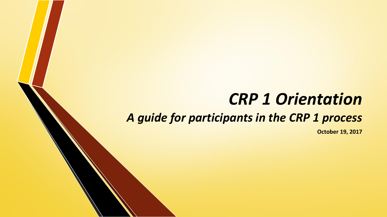# *CRP 1 Orientation*

#### *A guide for participants in the CRP 1 process*

**October 19, 2017**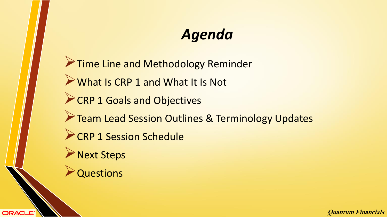## *Agenda*

**Time Line and Methodology Reminder** What Is CRP 1 and What It Is Not **CRP 1 Goals and Objectives Team Lead Session Outlines & Terminology Updates** CRP 1 Session Schedule **Next Steps Questions** 

**ORACLE®**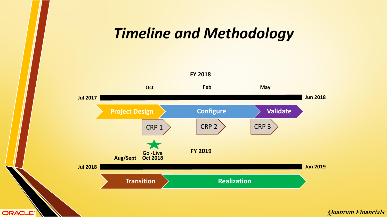#### *Timeline and Methodology*



ORACLE<sup>®</sup>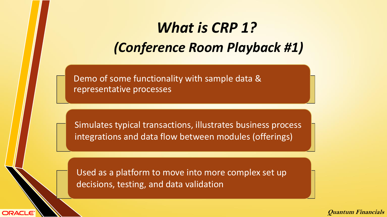## *What is CRP 1? (Conference Room Playback #1)*

Demo of some functionality with sample data & representative processes

Simulates typical transactions, illustrates business process integrations and data flow between modules (offerings)

Used as a platform to move into more complex set up decisions, testing, and data validation

**ORACLE**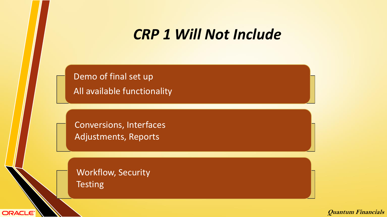#### *CRP 1 Will Not Include*

Demo of final set up All available functionality

Conversions, Interfaces Adjustments, Reports

Workflow, Security **Testing** 

**ORACLE**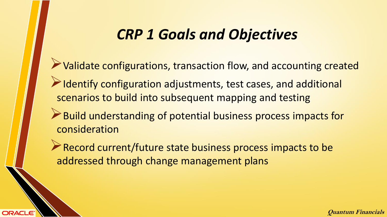#### *CRP 1 Goals and Objectives*

- Validate configurations, transaction flow, and accounting created
- Identify configuration adjustments, test cases, and additional scenarios to build into subsequent mapping and testing
- Build understanding of potential business process impacts for consideration

Record current/future state business process impacts to be addressed through change management plans

**ORACLE**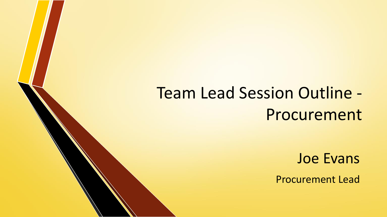# Team Lead Session Outline - Procurement

Joe Evans

Procurement Lead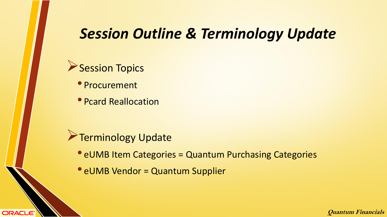### *Session Outline & Terminology Update*

#### Session Topics

• Procurement

**ORACLE®** 

• Pcard Reallocation

- **Terminology Update** 
	- eUMB Item Categories = Quantum Purchasing Categories
	- eUMB Vendor = Quantum Supplier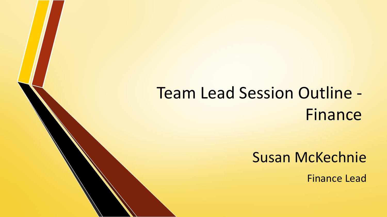# Team Lead Session Outline - Finance

Susan McKechnie

Finance Lead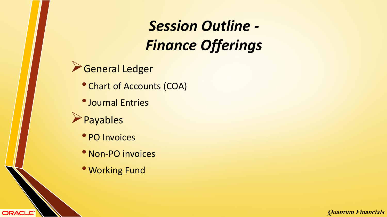## *Session Outline - Finance Offerings*

- General Ledger
	- Chart of Accounts (COA)
	- •Journal Entries
- Payables

ORACLE<sup>®</sup>

- PO Invoices
- Non-PO invoices
- Working Fund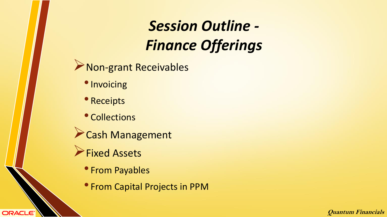## *Session Outline - Finance Offerings*

Non-grant Receivables

- Invoicing
- Receipts
- Collections
- Cash Management
- **Fixed Assets**

**ORACLE®** 

- From Payables
- From Capital Projects in PPM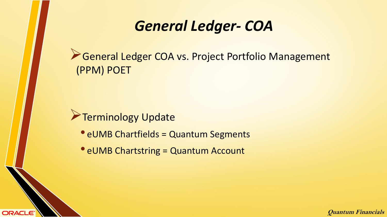General Ledger COA vs. Project Portfolio Management (PPM) POET

**Terminology Update** 

**ORACLE®** 

- eUMB Chartfields = Quantum Segments
- eUMB Chartstring = Quantum Account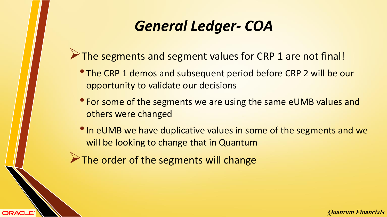- The segments and segment values for CRP 1 are not final!
	- The CRP 1 demos and subsequent period before CRP 2 will be our opportunity to validate our decisions
	- For some of the segments we are using the same eUMB values and others were changed
	- In eUMB we have duplicative values in some of the segments and we will be looking to change that in Quantum
- The order of the segments will change

ORACLE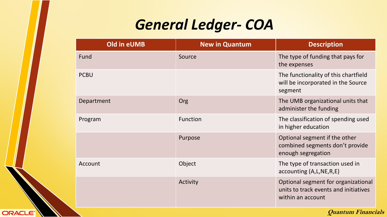| Old in eUMB | <b>New in Quantum</b> | <b>Description</b>                                                                                |
|-------------|-----------------------|---------------------------------------------------------------------------------------------------|
| Fund        | Source                | The type of funding that pays for<br>the expenses                                                 |
| <b>PCBU</b> |                       | The functionality of this chartfield<br>will be incorporated in the Source<br>segment             |
| Department  | Org                   | The UMB organizational units that<br>administer the funding                                       |
| Program     | <b>Function</b>       | The classification of spending used<br>in higher education                                        |
|             | Purpose               | Optional segment if the other<br>combined segments don't provide<br>enough segregation            |
| Account     | Object                | The type of transaction used in<br>accounting (A,L,NE,R,E)                                        |
|             | Activity              | Optional segment for organizational<br>units to track events and initiatives<br>within an account |

ORACLE<sup>®</sup>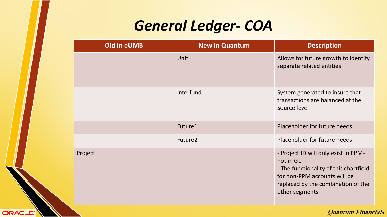| Old in eUMB | <b>New in Quantum</b> | <b>Description</b>                                                                                                                                                                  |
|-------------|-----------------------|-------------------------------------------------------------------------------------------------------------------------------------------------------------------------------------|
|             | Unit                  | Allows for future growth to identify<br>separate related entities                                                                                                                   |
|             | Interfund             | System generated to insure that<br>transactions are balanced at the<br>Source level                                                                                                 |
|             | Future1               | Placeholder for future needs                                                                                                                                                        |
|             | Future <sub>2</sub>   | Placeholder for future needs                                                                                                                                                        |
| Project     |                       | - Project ID will only exist in PPM-<br>not in GL<br>- The functionality of this chartfield<br>for non-PPM accounts will be<br>replaced by the combination of the<br>other segments |

ORACLE<sup>®</sup>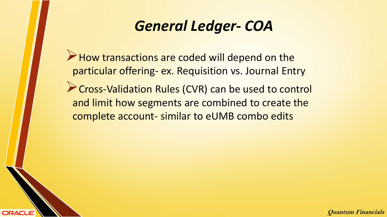How transactions are coded will depend on the particular offering- ex. Requisition vs. Journal Entry

**Cross-Validation Rules (CVR) can be used to control** and limit how segments are combined to create the complete account- similar to eUMB combo edits

**ORACLE**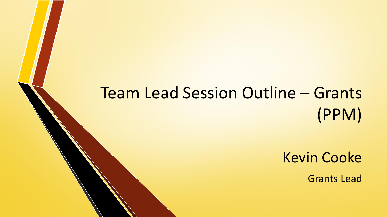# Team Lead Session Outline – Grants (PPM)

Kevin Cooke

Grants Lead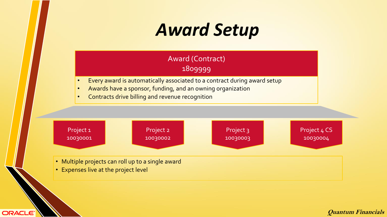# *Award Setup*

#### Award (Contract) 1809999

- Every award is automatically associated to a contract during award setup
- Awards have a sponsor, funding, and an owning organization
- Contracts drive billing and revenue recognition

![](_page_17_Figure_5.jpeg)

- Multiple projects can roll up to a single award
- Expenses live at the project level

**ORACLE®**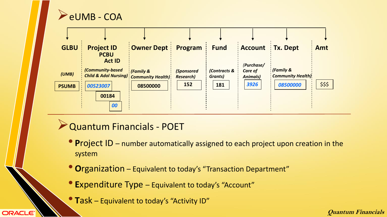![](_page_18_Picture_0.jpeg)

ORACLE<sup>®</sup>

![](_page_18_Figure_1.jpeg)

- Quantum Financials POET
	- **<sup>P</sup>**roject ID number automatically assigned to each project upon creation in the system
	- **<sup>O</sup>**rganization Equivalent to today's "Transaction Department"
	- **<sup>E</sup>**xpenditure Type Equivalent to today's "Account"
	- **<sup>T</sup>**ask Equivalent to today's "Activity ID"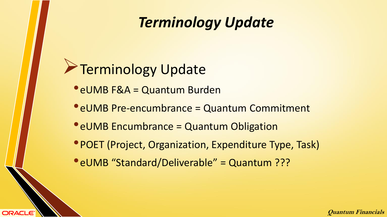## *Terminology Update*

## **Terminology Update**

**ORACLE®** 

- •eUMB F&A = Quantum Burden
- eUMB Pre-encumbrance = Quantum Commitment
- eUMB Encumbrance = Quantum Obligation
- POET (Project, Organization, Expenditure Type, Task)
- •eUMB "Standard/Deliverable" = Quantum ???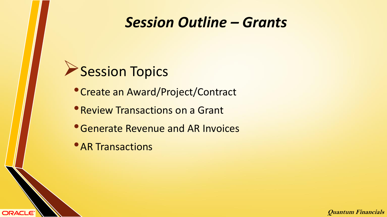#### *Session Outline – Grants*

![](_page_20_Picture_1.jpeg)

•Create an Award/Project/Contract

**• Review Transactions on a Grant** 

•Generate Revenue and AR Invoices

**• AR Transactions** 

**ORACLE®**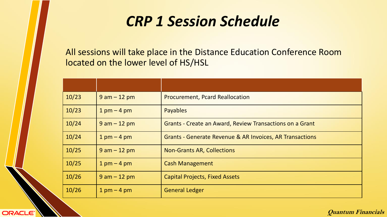### *CRP 1 Session Schedule*

All sessions will take place in the Distance Education Conference Room located on the lower level of HS/HSL

| 10/23 | $9$ am $-12$ pm | <b>Procurement, Pcard Reallocation</b>                              |
|-------|-----------------|---------------------------------------------------------------------|
| 10/23 | $1$ pm $-$ 4 pm | <b>Payables</b>                                                     |
| 10/24 | $9$ am $-12$ pm | <b>Grants - Create an Award, Review Transactions on a Grant</b>     |
| 10/24 | $1$ pm $-$ 4 pm | <b>Grants - Generate Revenue &amp; AR Invoices, AR Transactions</b> |
| 10/25 | $9$ am $-12$ pm | <b>Non-Grants AR, Collections</b>                                   |
| 10/25 | $1$ pm $-$ 4 pm | <b>Cash Management</b>                                              |
| 10/26 | $9$ am $-12$ pm | <b>Capital Projects, Fixed Assets</b>                               |
| 10/26 | $1$ pm $-$ 4 pm | <b>General Ledger</b>                                               |

**ORACLE®**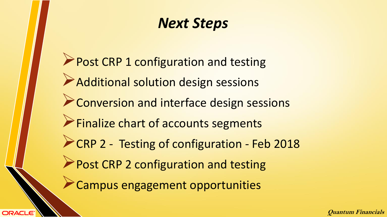### *Next Steps*

Post CRP 1 configuration and testing Additional solution design sessions **Example 2 Conversion and interface design sessions Finalize chart of accounts segments** CRP 2 - Testing of configuration - Feb 2018 Post CRP 2 configuration and testing Campus engagement opportunities

**ORACLE**